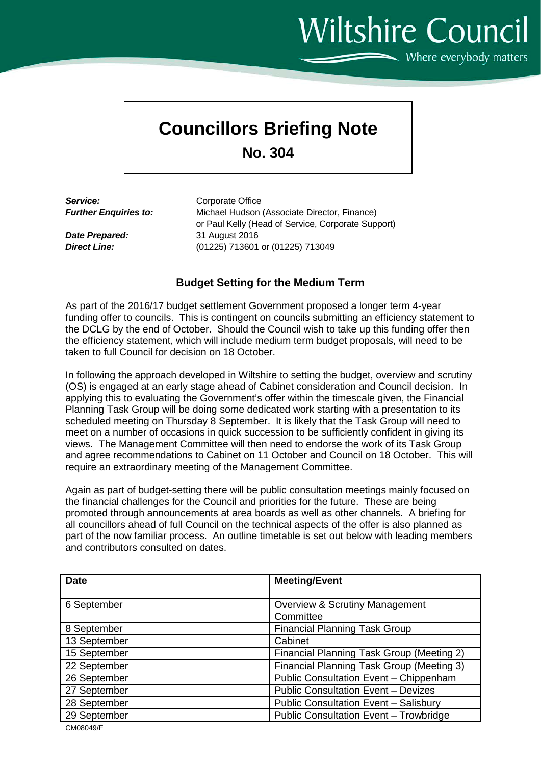## Wiltshire Council  $\sim$  Where everybody matters

## **Councillors Briefing Note**

**No. 304**

**Service:** Corporate Office<br> **Further Enguiries to:** Michael Hudson

*Michael Hudson (Associate Director, Finance)* or Paul Kelly (Head of Service, Corporate Support) *Date Prepared:* 31 August 2016 *Direct Line:* (01225) 713601 or (01225) 713049

## **Budget Setting for the Medium Term**

As part of the 2016/17 budget settlement Government proposed a longer term 4-year funding offer to councils. This is contingent on councils submitting an efficiency statement to the DCLG by the end of October. Should the Council wish to take up this funding offer then the efficiency statement, which will include medium term budget proposals, will need to be taken to full Council for decision on 18 October.

In following the approach developed in Wiltshire to setting the budget, overview and scrutiny (OS) is engaged at an early stage ahead of Cabinet consideration and Council decision. In applying this to evaluating the Government's offer within the timescale given, the Financial Planning Task Group will be doing some dedicated work starting with a presentation to its scheduled meeting on Thursday 8 September. It is likely that the Task Group will need to meet on a number of occasions in quick succession to be sufficiently confident in giving its views. The Management Committee will then need to endorse the work of its Task Group and agree recommendations to Cabinet on 11 October and Council on 18 October. This will require an extraordinary meeting of the Management Committee.

Again as part of budget-setting there will be public consultation meetings mainly focused on the financial challenges for the Council and priorities for the future. These are being promoted through announcements at area boards as well as other channels. A briefing for all councillors ahead of full Council on the technical aspects of the offer is also planned as part of the now familiar process. An outline timetable is set out below with leading members and contributors consulted on dates.

| <b>Date</b>  | <b>Meeting/Event</b>                                   |
|--------------|--------------------------------------------------------|
| 6 September  | <b>Overview &amp; Scrutiny Management</b><br>Committee |
| 8 September  | <b>Financial Planning Task Group</b>                   |
| 13 September | Cabinet                                                |
| 15 September | Financial Planning Task Group (Meeting 2)              |
| 22 September | Financial Planning Task Group (Meeting 3)              |
| 26 September | Public Consultation Event - Chippenham                 |
| 27 September | <b>Public Consultation Event - Devizes</b>             |
| 28 September | <b>Public Consultation Event - Salisbury</b>           |
| 29 September | Public Consultation Event - Trowbridge                 |